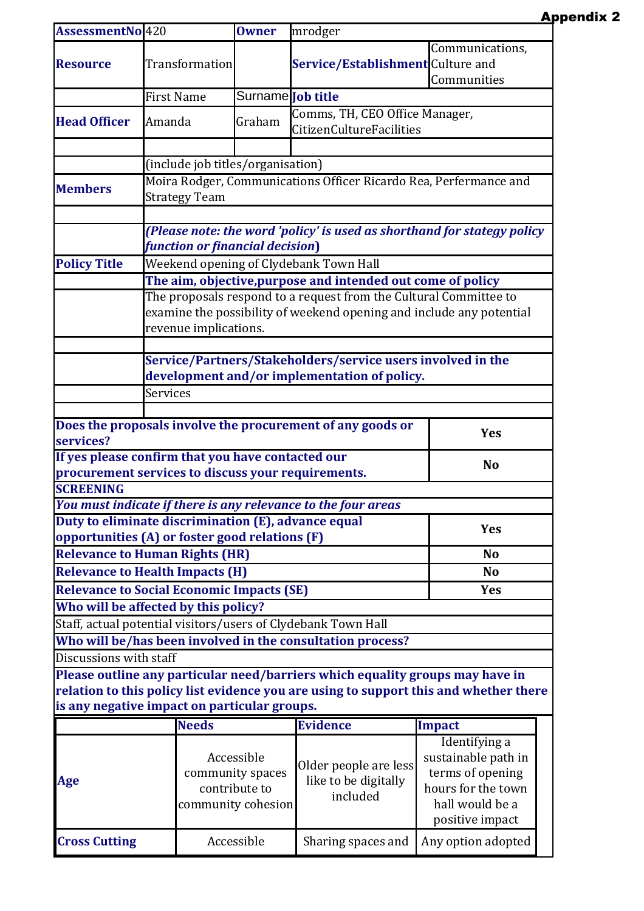| AssessmentNo 420<br><b>Transformation</b>                      | <b>Owner</b>                                   | mrodger                                                   | Communications,                                                                                                                                                                                                                                                                                                                                                                                                                                                                                                                                                 |                                                                                                                                                                                                                                                                                                                                                                                                                                                                                                                                                                                                                                                                             |  |  |
|----------------------------------------------------------------|------------------------------------------------|-----------------------------------------------------------|-----------------------------------------------------------------------------------------------------------------------------------------------------------------------------------------------------------------------------------------------------------------------------------------------------------------------------------------------------------------------------------------------------------------------------------------------------------------------------------------------------------------------------------------------------------------|-----------------------------------------------------------------------------------------------------------------------------------------------------------------------------------------------------------------------------------------------------------------------------------------------------------------------------------------------------------------------------------------------------------------------------------------------------------------------------------------------------------------------------------------------------------------------------------------------------------------------------------------------------------------------------|--|--|
|                                                                |                                                |                                                           |                                                                                                                                                                                                                                                                                                                                                                                                                                                                                                                                                                 |                                                                                                                                                                                                                                                                                                                                                                                                                                                                                                                                                                                                                                                                             |  |  |
|                                                                |                                                | Service/Establishment Culture and                         |                                                                                                                                                                                                                                                                                                                                                                                                                                                                                                                                                                 |                                                                                                                                                                                                                                                                                                                                                                                                                                                                                                                                                                                                                                                                             |  |  |
|                                                                |                                                |                                                           | Communities                                                                                                                                                                                                                                                                                                                                                                                                                                                                                                                                                     |                                                                                                                                                                                                                                                                                                                                                                                                                                                                                                                                                                                                                                                                             |  |  |
| <b>First Name</b>                                              | Surname <b>Job title</b>                       |                                                           |                                                                                                                                                                                                                                                                                                                                                                                                                                                                                                                                                                 |                                                                                                                                                                                                                                                                                                                                                                                                                                                                                                                                                                                                                                                                             |  |  |
|                                                                |                                                |                                                           |                                                                                                                                                                                                                                                                                                                                                                                                                                                                                                                                                                 |                                                                                                                                                                                                                                                                                                                                                                                                                                                                                                                                                                                                                                                                             |  |  |
| Amanda                                                         | Graham                                         |                                                           |                                                                                                                                                                                                                                                                                                                                                                                                                                                                                                                                                                 |                                                                                                                                                                                                                                                                                                                                                                                                                                                                                                                                                                                                                                                                             |  |  |
|                                                                |                                                |                                                           |                                                                                                                                                                                                                                                                                                                                                                                                                                                                                                                                                                 |                                                                                                                                                                                                                                                                                                                                                                                                                                                                                                                                                                                                                                                                             |  |  |
|                                                                |                                                |                                                           |                                                                                                                                                                                                                                                                                                                                                                                                                                                                                                                                                                 |                                                                                                                                                                                                                                                                                                                                                                                                                                                                                                                                                                                                                                                                             |  |  |
|                                                                |                                                |                                                           |                                                                                                                                                                                                                                                                                                                                                                                                                                                                                                                                                                 |                                                                                                                                                                                                                                                                                                                                                                                                                                                                                                                                                                                                                                                                             |  |  |
|                                                                |                                                |                                                           |                                                                                                                                                                                                                                                                                                                                                                                                                                                                                                                                                                 |                                                                                                                                                                                                                                                                                                                                                                                                                                                                                                                                                                                                                                                                             |  |  |
|                                                                |                                                |                                                           |                                                                                                                                                                                                                                                                                                                                                                                                                                                                                                                                                                 |                                                                                                                                                                                                                                                                                                                                                                                                                                                                                                                                                                                                                                                                             |  |  |
|                                                                |                                                |                                                           |                                                                                                                                                                                                                                                                                                                                                                                                                                                                                                                                                                 |                                                                                                                                                                                                                                                                                                                                                                                                                                                                                                                                                                                                                                                                             |  |  |
|                                                                |                                                |                                                           |                                                                                                                                                                                                                                                                                                                                                                                                                                                                                                                                                                 |                                                                                                                                                                                                                                                                                                                                                                                                                                                                                                                                                                                                                                                                             |  |  |
| <b>Policy Title</b>                                            |                                                |                                                           |                                                                                                                                                                                                                                                                                                                                                                                                                                                                                                                                                                 |                                                                                                                                                                                                                                                                                                                                                                                                                                                                                                                                                                                                                                                                             |  |  |
|                                                                |                                                |                                                           |                                                                                                                                                                                                                                                                                                                                                                                                                                                                                                                                                                 |                                                                                                                                                                                                                                                                                                                                                                                                                                                                                                                                                                                                                                                                             |  |  |
|                                                                |                                                |                                                           |                                                                                                                                                                                                                                                                                                                                                                                                                                                                                                                                                                 |                                                                                                                                                                                                                                                                                                                                                                                                                                                                                                                                                                                                                                                                             |  |  |
|                                                                |                                                |                                                           |                                                                                                                                                                                                                                                                                                                                                                                                                                                                                                                                                                 |                                                                                                                                                                                                                                                                                                                                                                                                                                                                                                                                                                                                                                                                             |  |  |
| revenue implications.                                          |                                                |                                                           |                                                                                                                                                                                                                                                                                                                                                                                                                                                                                                                                                                 |                                                                                                                                                                                                                                                                                                                                                                                                                                                                                                                                                                                                                                                                             |  |  |
|                                                                |                                                |                                                           |                                                                                                                                                                                                                                                                                                                                                                                                                                                                                                                                                                 |                                                                                                                                                                                                                                                                                                                                                                                                                                                                                                                                                                                                                                                                             |  |  |
| Service/Partners/Stakeholders/service users involved in the    |                                                |                                                           |                                                                                                                                                                                                                                                                                                                                                                                                                                                                                                                                                                 |                                                                                                                                                                                                                                                                                                                                                                                                                                                                                                                                                                                                                                                                             |  |  |
| development and/or implementation of policy.                   |                                                |                                                           |                                                                                                                                                                                                                                                                                                                                                                                                                                                                                                                                                                 |                                                                                                                                                                                                                                                                                                                                                                                                                                                                                                                                                                                                                                                                             |  |  |
| Services                                                       |                                                |                                                           |                                                                                                                                                                                                                                                                                                                                                                                                                                                                                                                                                                 |                                                                                                                                                                                                                                                                                                                                                                                                                                                                                                                                                                                                                                                                             |  |  |
|                                                                |                                                |                                                           |                                                                                                                                                                                                                                                                                                                                                                                                                                                                                                                                                                 |                                                                                                                                                                                                                                                                                                                                                                                                                                                                                                                                                                                                                                                                             |  |  |
|                                                                |                                                |                                                           |                                                                                                                                                                                                                                                                                                                                                                                                                                                                                                                                                                 |                                                                                                                                                                                                                                                                                                                                                                                                                                                                                                                                                                                                                                                                             |  |  |
|                                                                |                                                |                                                           |                                                                                                                                                                                                                                                                                                                                                                                                                                                                                                                                                                 |                                                                                                                                                                                                                                                                                                                                                                                                                                                                                                                                                                                                                                                                             |  |  |
| If yes please confirm that you have contacted our              |                                                |                                                           |                                                                                                                                                                                                                                                                                                                                                                                                                                                                                                                                                                 |                                                                                                                                                                                                                                                                                                                                                                                                                                                                                                                                                                                                                                                                             |  |  |
|                                                                |                                                |                                                           |                                                                                                                                                                                                                                                                                                                                                                                                                                                                                                                                                                 |                                                                                                                                                                                                                                                                                                                                                                                                                                                                                                                                                                                                                                                                             |  |  |
|                                                                |                                                |                                                           |                                                                                                                                                                                                                                                                                                                                                                                                                                                                                                                                                                 |                                                                                                                                                                                                                                                                                                                                                                                                                                                                                                                                                                                                                                                                             |  |  |
|                                                                |                                                |                                                           |                                                                                                                                                                                                                                                                                                                                                                                                                                                                                                                                                                 |                                                                                                                                                                                                                                                                                                                                                                                                                                                                                                                                                                                                                                                                             |  |  |
|                                                                |                                                |                                                           |                                                                                                                                                                                                                                                                                                                                                                                                                                                                                                                                                                 |                                                                                                                                                                                                                                                                                                                                                                                                                                                                                                                                                                                                                                                                             |  |  |
| opportunities (A) or foster good relations (F)                 |                                                |                                                           |                                                                                                                                                                                                                                                                                                                                                                                                                                                                                                                                                                 |                                                                                                                                                                                                                                                                                                                                                                                                                                                                                                                                                                                                                                                                             |  |  |
| <b>Relevance to Human Rights (HR)</b><br><b>No</b>             |                                                |                                                           |                                                                                                                                                                                                                                                                                                                                                                                                                                                                                                                                                                 |                                                                                                                                                                                                                                                                                                                                                                                                                                                                                                                                                                                                                                                                             |  |  |
| <b>Relevance to Health Impacts (H)</b><br><b>No</b>            |                                                |                                                           |                                                                                                                                                                                                                                                                                                                                                                                                                                                                                                                                                                 |                                                                                                                                                                                                                                                                                                                                                                                                                                                                                                                                                                                                                                                                             |  |  |
| <b>Relevance to Social Economic Impacts (SE)</b><br><b>Yes</b> |                                                |                                                           |                                                                                                                                                                                                                                                                                                                                                                                                                                                                                                                                                                 |                                                                                                                                                                                                                                                                                                                                                                                                                                                                                                                                                                                                                                                                             |  |  |
|                                                                |                                                |                                                           |                                                                                                                                                                                                                                                                                                                                                                                                                                                                                                                                                                 |                                                                                                                                                                                                                                                                                                                                                                                                                                                                                                                                                                                                                                                                             |  |  |
|                                                                |                                                |                                                           |                                                                                                                                                                                                                                                                                                                                                                                                                                                                                                                                                                 |                                                                                                                                                                                                                                                                                                                                                                                                                                                                                                                                                                                                                                                                             |  |  |
|                                                                |                                                |                                                           |                                                                                                                                                                                                                                                                                                                                                                                                                                                                                                                                                                 |                                                                                                                                                                                                                                                                                                                                                                                                                                                                                                                                                                                                                                                                             |  |  |
|                                                                |                                                |                                                           |                                                                                                                                                                                                                                                                                                                                                                                                                                                                                                                                                                 |                                                                                                                                                                                                                                                                                                                                                                                                                                                                                                                                                                                                                                                                             |  |  |
|                                                                |                                                |                                                           |                                                                                                                                                                                                                                                                                                                                                                                                                                                                                                                                                                 |                                                                                                                                                                                                                                                                                                                                                                                                                                                                                                                                                                                                                                                                             |  |  |
|                                                                |                                                |                                                           |                                                                                                                                                                                                                                                                                                                                                                                                                                                                                                                                                                 |                                                                                                                                                                                                                                                                                                                                                                                                                                                                                                                                                                                                                                                                             |  |  |
|                                                                |                                                |                                                           |                                                                                                                                                                                                                                                                                                                                                                                                                                                                                                                                                                 |                                                                                                                                                                                                                                                                                                                                                                                                                                                                                                                                                                                                                                                                             |  |  |
| <b>Needs</b>                                                   |                                                | <b>Evidence</b>                                           |                                                                                                                                                                                                                                                                                                                                                                                                                                                                                                                                                                 |                                                                                                                                                                                                                                                                                                                                                                                                                                                                                                                                                                                                                                                                             |  |  |
|                                                                | Accessible<br>community spaces                 | Older people are less<br>like to be digitally<br>included |                                                                                                                                                                                                                                                                                                                                                                                                                                                                                                                                                                 |                                                                                                                                                                                                                                                                                                                                                                                                                                                                                                                                                                                                                                                                             |  |  |
|                                                                |                                                |                                                           | sustainable path in                                                                                                                                                                                                                                                                                                                                                                                                                                                                                                                                             |                                                                                                                                                                                                                                                                                                                                                                                                                                                                                                                                                                                                                                                                             |  |  |
|                                                                |                                                |                                                           | terms of opening                                                                                                                                                                                                                                                                                                                                                                                                                                                                                                                                                |                                                                                                                                                                                                                                                                                                                                                                                                                                                                                                                                                                                                                                                                             |  |  |
|                                                                |                                                |                                                           | hours for the town                                                                                                                                                                                                                                                                                                                                                                                                                                                                                                                                              |                                                                                                                                                                                                                                                                                                                                                                                                                                                                                                                                                                                                                                                                             |  |  |
|                                                                |                                                |                                                           | hall would be a                                                                                                                                                                                                                                                                                                                                                                                                                                                                                                                                                 |                                                                                                                                                                                                                                                                                                                                                                                                                                                                                                                                                                                                                                                                             |  |  |
|                                                                |                                                |                                                           | positive impact                                                                                                                                                                                                                                                                                                                                                                                                                                                                                                                                                 |                                                                                                                                                                                                                                                                                                                                                                                                                                                                                                                                                                                                                                                                             |  |  |
|                                                                |                                                |                                                           |                                                                                                                                                                                                                                                                                                                                                                                                                                                                                                                                                                 |                                                                                                                                                                                                                                                                                                                                                                                                                                                                                                                                                                                                                                                                             |  |  |
|                                                                | <b>Strategy Team</b><br>Discussions with staff | Who will be affected by this policy?<br>contribute to     | (include job titles/organisation)<br>function or financial decision)<br>Weekend opening of Clydebank Town Hall<br>Does the proposals involve the procurement of any goods or<br>procurement services to discuss your requirements.<br>You must indicate if there is any relevance to the four areas<br>Duty to eliminate discrimination (E), advance equal<br>Staff, actual potential visitors/users of Clydebank Town Hall<br>Who will be/has been involved in the consultation process?<br>is any negative impact on particular groups.<br>community cohesion | Comms, TH, CEO Office Manager,<br><b>CitizenCultureFacilities</b><br>Moira Rodger, Communications Officer Ricardo Rea, Perfermance and<br>(Please note: the word 'policy' is used as shorthand for stategy policy<br>The aim, objective, purpose and intended out come of policy<br>The proposals respond to a request from the Cultural Committee to<br>examine the possibility of weekend opening and include any potential<br><b>Yes</b><br><b>No</b><br><b>Yes</b><br>Please outline any particular need/barriers which equality groups may have in<br>relation to this policy list evidence you are using to support this and whether there<br>Impact<br>Identifying a |  |  |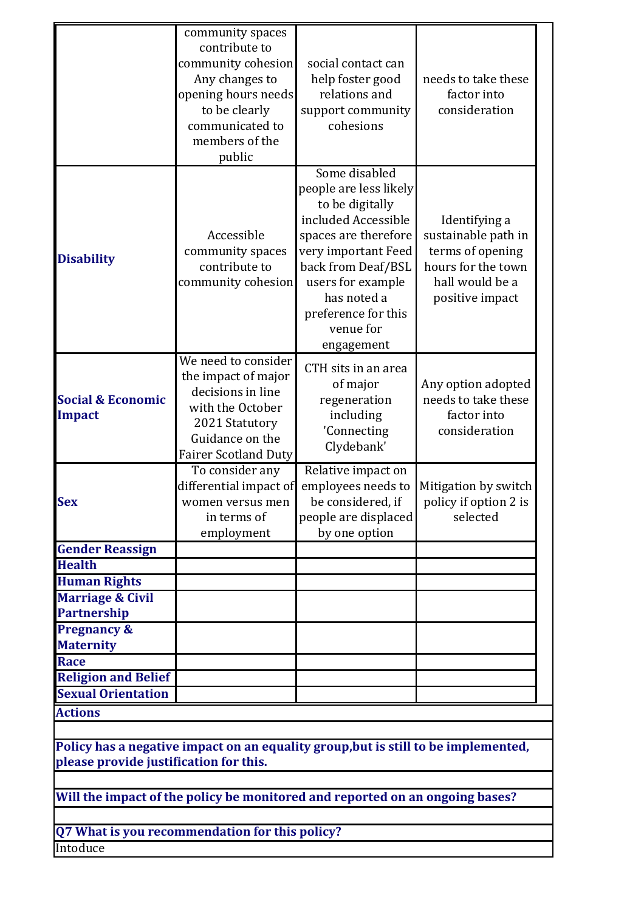|                                                                                                                              | community spaces                                                             |                                                                                   |                                   |  |  |  |  |
|------------------------------------------------------------------------------------------------------------------------------|------------------------------------------------------------------------------|-----------------------------------------------------------------------------------|-----------------------------------|--|--|--|--|
|                                                                                                                              | contribute to                                                                |                                                                                   |                                   |  |  |  |  |
|                                                                                                                              | community cohesion                                                           | social contact can                                                                |                                   |  |  |  |  |
|                                                                                                                              | Any changes to                                                               | help foster good                                                                  | needs to take these               |  |  |  |  |
|                                                                                                                              | opening hours needs                                                          | relations and                                                                     | factor into                       |  |  |  |  |
|                                                                                                                              | to be clearly                                                                | support community                                                                 | consideration                     |  |  |  |  |
|                                                                                                                              | communicated to                                                              | cohesions                                                                         |                                   |  |  |  |  |
|                                                                                                                              | members of the                                                               |                                                                                   |                                   |  |  |  |  |
|                                                                                                                              | public                                                                       |                                                                                   |                                   |  |  |  |  |
|                                                                                                                              |                                                                              | Some disabled<br>people are less likely<br>to be digitally<br>included Accessible | Identifying a                     |  |  |  |  |
|                                                                                                                              | Accessible                                                                   | spaces are therefore                                                              | sustainable path in               |  |  |  |  |
|                                                                                                                              | community spaces                                                             | very important Feed                                                               | terms of opening                  |  |  |  |  |
| <b>Disability</b>                                                                                                            | contribute to                                                                | back from Deaf/BSL                                                                | hours for the town                |  |  |  |  |
|                                                                                                                              | community cohesion                                                           | users for example                                                                 | hall would be a                   |  |  |  |  |
|                                                                                                                              |                                                                              | has noted a                                                                       | positive impact                   |  |  |  |  |
|                                                                                                                              |                                                                              | preference for this                                                               |                                   |  |  |  |  |
|                                                                                                                              |                                                                              | venue for                                                                         |                                   |  |  |  |  |
|                                                                                                                              |                                                                              | engagement                                                                        |                                   |  |  |  |  |
|                                                                                                                              | We need to consider                                                          |                                                                                   |                                   |  |  |  |  |
|                                                                                                                              | the impact of major                                                          | CTH sits in an area                                                               |                                   |  |  |  |  |
|                                                                                                                              | decisions in line                                                            | of major                                                                          | Any option adopted                |  |  |  |  |
| <b>Social &amp; Economic</b>                                                                                                 | with the October                                                             | regeneration                                                                      | needs to take these               |  |  |  |  |
| Impact                                                                                                                       |                                                                              | including                                                                         | factor into                       |  |  |  |  |
|                                                                                                                              | 2021 Statutory<br>Guidance on the                                            | 'Connecting                                                                       | consideration                     |  |  |  |  |
|                                                                                                                              |                                                                              | Clydebank'                                                                        |                                   |  |  |  |  |
|                                                                                                                              | <b>Fairer Scotland Duty</b>                                                  |                                                                                   |                                   |  |  |  |  |
|                                                                                                                              | To consider any<br>differential impact of                                    | Relative impact on<br>employees needs to                                          |                                   |  |  |  |  |
| <b>Sex</b>                                                                                                                   | women versus men                                                             | be considered, if                                                                 | Mitigation by switch              |  |  |  |  |
|                                                                                                                              | in terms of                                                                  |                                                                                   | policy if option 2 is<br>selected |  |  |  |  |
|                                                                                                                              |                                                                              | people are displaced                                                              |                                   |  |  |  |  |
|                                                                                                                              | employment                                                                   | by one option                                                                     |                                   |  |  |  |  |
| <b>Gender Reassign</b><br><b>Health</b>                                                                                      |                                                                              |                                                                                   |                                   |  |  |  |  |
|                                                                                                                              |                                                                              |                                                                                   |                                   |  |  |  |  |
| <b>Human Rights</b>                                                                                                          |                                                                              |                                                                                   |                                   |  |  |  |  |
| <b>Marriage &amp; Civil</b>                                                                                                  |                                                                              |                                                                                   |                                   |  |  |  |  |
| <b>Partnership</b>                                                                                                           |                                                                              |                                                                                   |                                   |  |  |  |  |
| <b>Pregnancy &amp;</b>                                                                                                       |                                                                              |                                                                                   |                                   |  |  |  |  |
| <b>Maternity</b>                                                                                                             |                                                                              |                                                                                   |                                   |  |  |  |  |
| <b>Race</b>                                                                                                                  |                                                                              |                                                                                   |                                   |  |  |  |  |
| <b>Religion and Belief</b>                                                                                                   |                                                                              |                                                                                   |                                   |  |  |  |  |
| <b>Sexual Orientation</b>                                                                                                    |                                                                              |                                                                                   |                                   |  |  |  |  |
| <b>Actions</b>                                                                                                               |                                                                              |                                                                                   |                                   |  |  |  |  |
|                                                                                                                              |                                                                              |                                                                                   |                                   |  |  |  |  |
| Policy has a negative impact on an equality group, but is still to be implemented,<br>please provide justification for this. |                                                                              |                                                                                   |                                   |  |  |  |  |
|                                                                                                                              |                                                                              |                                                                                   |                                   |  |  |  |  |
|                                                                                                                              | Will the impact of the policy be monitored and reported on an ongoing bases? |                                                                                   |                                   |  |  |  |  |
|                                                                                                                              |                                                                              |                                                                                   |                                   |  |  |  |  |
| Q7 What is you recommendation for this policy?                                                                               |                                                                              |                                                                                   |                                   |  |  |  |  |
| Intoduce                                                                                                                     |                                                                              |                                                                                   |                                   |  |  |  |  |